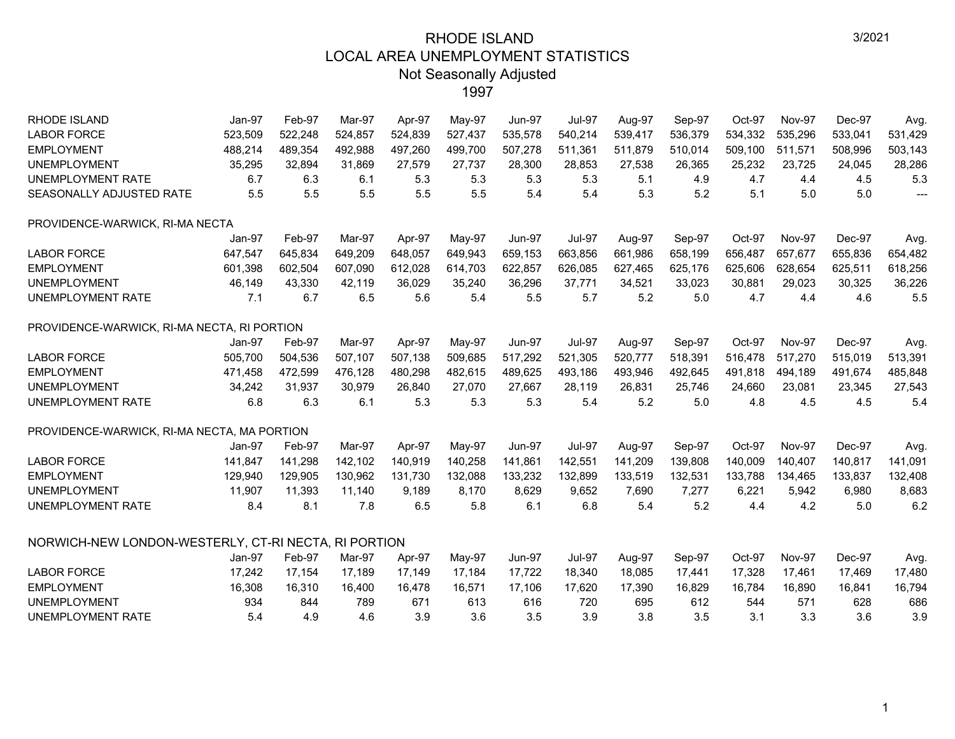| <b>RHODE ISLAND</b>                                  | Jan-97  | Feb-97  | Mar-97  | Apr-97  | May-97  | <b>Jun-97</b> | <b>Jul-97</b> | Aug-97  | Sep-97  | Oct-97  | Nov-97        | Dec-97  | Avg.                                |
|------------------------------------------------------|---------|---------|---------|---------|---------|---------------|---------------|---------|---------|---------|---------------|---------|-------------------------------------|
| <b>LABOR FORCE</b>                                   | 523,509 | 522,248 | 524,857 | 524,839 | 527,437 | 535,578       | 540,214       | 539,417 | 536,379 | 534,332 | 535,296       | 533,041 | 531,429                             |
| <b>EMPLOYMENT</b>                                    | 488,214 | 489,354 | 492,988 | 497,260 | 499,700 | 507,278       | 511,361       | 511,879 | 510,014 | 509,100 | 511,571       | 508,996 | 503,143                             |
| <b>UNEMPLOYMENT</b>                                  | 35,295  | 32,894  | 31,869  | 27,579  | 27,737  | 28,300        | 28,853        | 27,538  | 26,365  | 25,232  | 23,725        | 24,045  | 28,286                              |
| <b>UNEMPLOYMENT RATE</b>                             | 6.7     | 6.3     | 6.1     | 5.3     | 5.3     | 5.3           | 5.3           | 5.1     | 4.9     | 4.7     | 4.4           | 4.5     | 5.3                                 |
| SEASONALLY ADJUSTED RATE                             | 5.5     | 5.5     | 5.5     | 5.5     | 5.5     | 5.4           | 5.4           | 5.3     | 5.2     | 5.1     | 5.0           | 5.0     | $\hspace{0.05cm}---\hspace{0.05cm}$ |
| PROVIDENCE-WARWICK, RI-MA NECTA                      |         |         |         |         |         |               |               |         |         |         |               |         |                                     |
|                                                      | Jan-97  | Feb-97  | Mar-97  | Apr-97  | May-97  | <b>Jun-97</b> | <b>Jul-97</b> | Aug-97  | Sep-97  | Oct-97  | <b>Nov-97</b> | Dec-97  | Avg.                                |
| <b>LABOR FORCE</b>                                   | 647,547 | 645,834 | 649,209 | 648,057 | 649,943 | 659,153       | 663,856       | 661,986 | 658,199 | 656,487 | 657,677       | 655,836 | 654,482                             |
| <b>EMPLOYMENT</b>                                    | 601,398 | 602,504 | 607,090 | 612,028 | 614,703 | 622,857       | 626,085       | 627,465 | 625,176 | 625,606 | 628,654       | 625,511 | 618,256                             |
| <b>UNEMPLOYMENT</b>                                  | 46,149  | 43,330  | 42.119  | 36,029  | 35,240  | 36,296        | 37,771        | 34,521  | 33,023  | 30,881  | 29,023        | 30,325  | 36,226                              |
| UNEMPLOYMENT RATE                                    | 7.1     | 6.7     | 6.5     | 5.6     | 5.4     | 5.5           | 5.7           | 5.2     | 5.0     | 4.7     | 4.4           | 4.6     | 5.5                                 |
| PROVIDENCE-WARWICK, RI-MA NECTA, RI PORTION          |         |         |         |         |         |               |               |         |         |         |               |         |                                     |
|                                                      | Jan-97  | Feb-97  | Mar-97  | Apr-97  | May-97  | <b>Jun-97</b> | <b>Jul-97</b> | Aug-97  | Sep-97  | Oct-97  | <b>Nov-97</b> | Dec-97  | Avg.                                |
| <b>LABOR FORCE</b>                                   | 505,700 | 504,536 | 507,107 | 507,138 | 509,685 | 517,292       | 521,305       | 520,777 | 518,391 | 516,478 | 517,270       | 515,019 | 513,391                             |
| <b>EMPLOYMENT</b>                                    | 471,458 | 472,599 | 476,128 | 480,298 | 482,615 | 489,625       | 493,186       | 493,946 | 492,645 | 491,818 | 494,189       | 491,674 | 485,848                             |
| <b>UNEMPLOYMENT</b>                                  | 34,242  | 31,937  | 30,979  | 26,840  | 27,070  | 27,667        | 28,119        | 26,831  | 25,746  | 24,660  | 23,081        | 23,345  | 27,543                              |
| UNEMPLOYMENT RATE                                    | 6.8     | 6.3     | 6.1     | 5.3     | 5.3     | 5.3           | 5.4           | 5.2     | 5.0     | 4.8     | 4.5           | 4.5     | 5.4                                 |
| PROVIDENCE-WARWICK, RI-MA NECTA, MA PORTION          |         |         |         |         |         |               |               |         |         |         |               |         |                                     |
|                                                      | Jan-97  | Feb-97  | Mar-97  | Apr-97  | May-97  | <b>Jun-97</b> | <b>Jul-97</b> | Aug-97  | Sep-97  | Oct-97  | <b>Nov-97</b> | Dec-97  | Avg.                                |
| <b>LABOR FORCE</b>                                   | 141,847 | 141,298 | 142,102 | 140,919 | 140,258 | 141,861       | 142,551       | 141,209 | 139,808 | 140,009 | 140,407       | 140,817 | 141,091                             |
| <b>EMPLOYMENT</b>                                    | 129,940 | 129,905 | 130,962 | 131,730 | 132,088 | 133,232       | 132,899       | 133,519 | 132,531 | 133,788 | 134,465       | 133,837 | 132,408                             |
| <b>UNEMPLOYMENT</b>                                  | 11,907  | 11,393  | 11,140  | 9,189   | 8,170   | 8,629         | 9,652         | 7,690   | 7,277   | 6,221   | 5,942         | 6,980   | 8,683                               |
| UNEMPLOYMENT RATE                                    | 8.4     | 8.1     | 7.8     | 6.5     | 5.8     | 6.1           | 6.8           | 5.4     | 5.2     | 4.4     | 4.2           | 5.0     | 6.2                                 |
| NORWICH-NEW LONDON-WESTERLY, CT-RI NECTA, RI PORTION |         |         |         |         |         |               |               |         |         |         |               |         |                                     |
|                                                      | Jan-97  | Feb-97  | Mar-97  | Apr-97  | May-97  | Jun-97        | <b>Jul-97</b> | Aug-97  | Sep-97  | Oct-97  | <b>Nov-97</b> | Dec-97  | Avg.                                |
| <b>LABOR FORCE</b>                                   | 17,242  | 17,154  | 17,189  | 17,149  | 17,184  | 17,722        | 18,340        | 18,085  | 17,441  | 17,328  | 17,461        | 17,469  | 17,480                              |
| <b>EMPLOYMENT</b>                                    | 16,308  | 16,310  | 16,400  | 16,478  | 16,571  | 17,106        | 17,620        | 17,390  | 16,829  | 16,784  | 16,890        | 16,841  | 16,794                              |
| <b>UNEMPLOYMENT</b>                                  | 934     | 844     | 789     | 671     | 613     | 616           | 720           | 695     | 612     | 544     | 571           | 628     | 686                                 |
| UNEMPLOYMENT RATE                                    | 5.4     | 4.9     | 4.6     | 3.9     | 3.6     | 3.5           | 3.9           | 3.8     | 3.5     | 3.1     | 3.3           | 3.6     | 3.9                                 |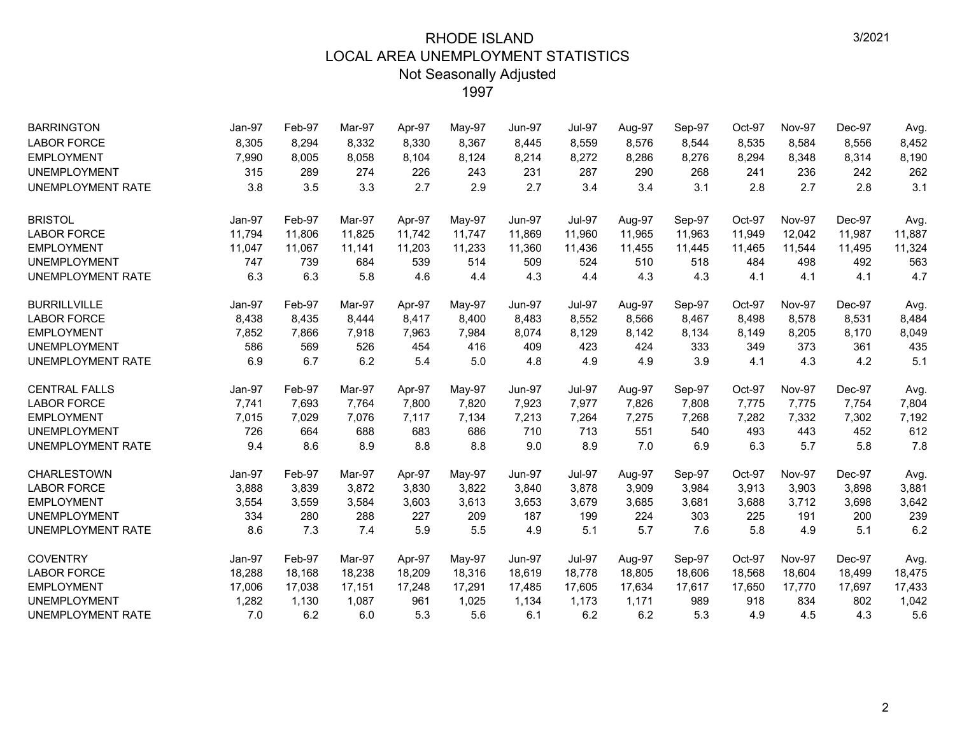| <b>BARRINGTON</b>        | Jan-97 | Feb-97 | Mar-97 | Apr-97 | May-97 | <b>Jun-97</b> | <b>Jul-97</b> | Aug-97 | Sep-97 | Oct-97 | <b>Nov-97</b> | Dec-97 | Avg.   |
|--------------------------|--------|--------|--------|--------|--------|---------------|---------------|--------|--------|--------|---------------|--------|--------|
| <b>LABOR FORCE</b>       | 8,305  | 8,294  | 8,332  | 8,330  | 8,367  | 8,445         | 8,559         | 8,576  | 8,544  | 8,535  | 8,584         | 8,556  | 8,452  |
| <b>EMPLOYMENT</b>        | 7,990  | 8,005  | 8,058  | 8,104  | 8,124  | 8,214         | 8,272         | 8,286  | 8,276  | 8,294  | 8,348         | 8,314  | 8,190  |
| <b>UNEMPLOYMENT</b>      | 315    | 289    | 274    | 226    | 243    | 231           | 287           | 290    | 268    | 241    | 236           | 242    | 262    |
| UNEMPLOYMENT RATE        | 3.8    | 3.5    | 3.3    | 2.7    | 2.9    | 2.7           | 3.4           | 3.4    | 3.1    | 2.8    | 2.7           | 2.8    | 3.1    |
| <b>BRISTOL</b>           | Jan-97 | Feb-97 | Mar-97 | Apr-97 | May-97 | <b>Jun-97</b> | <b>Jul-97</b> | Aug-97 | Sep-97 | Oct-97 | <b>Nov-97</b> | Dec-97 | Avg.   |
| <b>LABOR FORCE</b>       | 11,794 | 11,806 | 11,825 | 11,742 | 11,747 | 11,869        | 11,960        | 11,965 | 11,963 | 11,949 | 12,042        | 11,987 | 11,887 |
| <b>EMPLOYMENT</b>        | 11,047 | 11,067 | 11,141 | 11,203 | 11,233 | 11,360        | 11,436        | 11,455 | 11,445 | 11,465 | 11,544        | 11,495 | 11,324 |
| <b>UNEMPLOYMENT</b>      | 747    | 739    | 684    | 539    | 514    | 509           | 524           | 510    | 518    | 484    | 498           | 492    | 563    |
| <b>UNEMPLOYMENT RATE</b> | 6.3    | 6.3    | 5.8    | 4.6    | 4.4    | 4.3           | 4.4           | 4.3    | 4.3    | 4.1    | 4.1           | 4.1    | 4.7    |
| <b>BURRILLVILLE</b>      | Jan-97 | Feb-97 | Mar-97 | Apr-97 | May-97 | <b>Jun-97</b> | <b>Jul-97</b> | Aug-97 | Sep-97 | Oct-97 | <b>Nov-97</b> | Dec-97 | Avg.   |
| <b>LABOR FORCE</b>       | 8,438  | 8,435  | 8,444  | 8,417  | 8,400  | 8,483         | 8,552         | 8,566  | 8,467  | 8,498  | 8,578         | 8,531  | 8,484  |
| <b>EMPLOYMENT</b>        | 7,852  | 7,866  | 7,918  | 7,963  | 7,984  | 8,074         | 8,129         | 8,142  | 8,134  | 8,149  | 8,205         | 8,170  | 8,049  |
| <b>UNEMPLOYMENT</b>      | 586    | 569    | 526    | 454    | 416    | 409           | 423           | 424    | 333    | 349    | 373           | 361    | 435    |
| UNEMPLOYMENT RATE        | 6.9    | 6.7    | 6.2    | 5.4    | 5.0    | 4.8           | 4.9           | 4.9    | 3.9    | 4.1    | 4.3           | 4.2    | 5.1    |
| <b>CENTRAL FALLS</b>     | Jan-97 | Feb-97 | Mar-97 | Apr-97 | May-97 | <b>Jun-97</b> | <b>Jul-97</b> | Aug-97 | Sep-97 | Oct-97 | Nov-97        | Dec-97 | Avg.   |
| <b>LABOR FORCE</b>       | 7,741  | 7,693  | 7,764  | 7,800  | 7,820  | 7,923         | 7,977         | 7,826  | 7,808  | 7,775  | 7,775         | 7,754  | 7,804  |
| <b>EMPLOYMENT</b>        | 7,015  | 7,029  | 7,076  | 7,117  | 7,134  | 7,213         | 7,264         | 7,275  | 7,268  | 7,282  | 7,332         | 7,302  | 7,192  |
| <b>UNEMPLOYMENT</b>      | 726    | 664    | 688    | 683    | 686    | 710           | 713           | 551    | 540    | 493    | 443           | 452    | 612    |
| UNEMPLOYMENT RATE        | 9.4    | 8.6    | 8.9    | 8.8    | 8.8    | 9.0           | 8.9           | 7.0    | 6.9    | 6.3    | 5.7           | 5.8    | 7.8    |
| <b>CHARLESTOWN</b>       | Jan-97 | Feb-97 | Mar-97 | Apr-97 | May-97 | <b>Jun-97</b> | <b>Jul-97</b> | Aug-97 | Sep-97 | Oct-97 | <b>Nov-97</b> | Dec-97 | Avg.   |
| <b>LABOR FORCE</b>       | 3,888  | 3,839  | 3,872  | 3,830  | 3,822  | 3,840         | 3,878         | 3,909  | 3,984  | 3,913  | 3,903         | 3,898  | 3,881  |
| <b>EMPLOYMENT</b>        | 3,554  | 3,559  | 3,584  | 3,603  | 3,613  | 3,653         | 3,679         | 3,685  | 3,681  | 3,688  | 3,712         | 3,698  | 3,642  |
| <b>UNEMPLOYMENT</b>      | 334    | 280    | 288    | 227    | 209    | 187           | 199           | 224    | 303    | 225    | 191           | 200    | 239    |
| UNEMPLOYMENT RATE        | 8.6    | 7.3    | 7.4    | 5.9    | 5.5    | 4.9           | 5.1           | 5.7    | 7.6    | 5.8    | 4.9           | 5.1    | 6.2    |
| <b>COVENTRY</b>          | Jan-97 | Feb-97 | Mar-97 | Apr-97 | May-97 | <b>Jun-97</b> | <b>Jul-97</b> | Aug-97 | Sep-97 | Oct-97 | <b>Nov-97</b> | Dec-97 | Avg.   |
| <b>LABOR FORCE</b>       | 18,288 | 18,168 | 18,238 | 18,209 | 18,316 | 18,619        | 18,778        | 18,805 | 18,606 | 18,568 | 18,604        | 18,499 | 18,475 |
| <b>EMPLOYMENT</b>        | 17,006 | 17,038 | 17,151 | 17,248 | 17,291 | 17,485        | 17,605        | 17,634 | 17,617 | 17,650 | 17,770        | 17,697 | 17,433 |
| <b>UNEMPLOYMENT</b>      | 1,282  | 1,130  | 1,087  | 961    | 1,025  | 1,134         | 1,173         | 1,171  | 989    | 918    | 834           | 802    | 1,042  |
| UNEMPLOYMENT RATE        | 7.0    | 6.2    | 6.0    | 5.3    | 5.6    | 6.1           | 6.2           | 6.2    | 5.3    | 4.9    | 4.5           | 4.3    | 5.6    |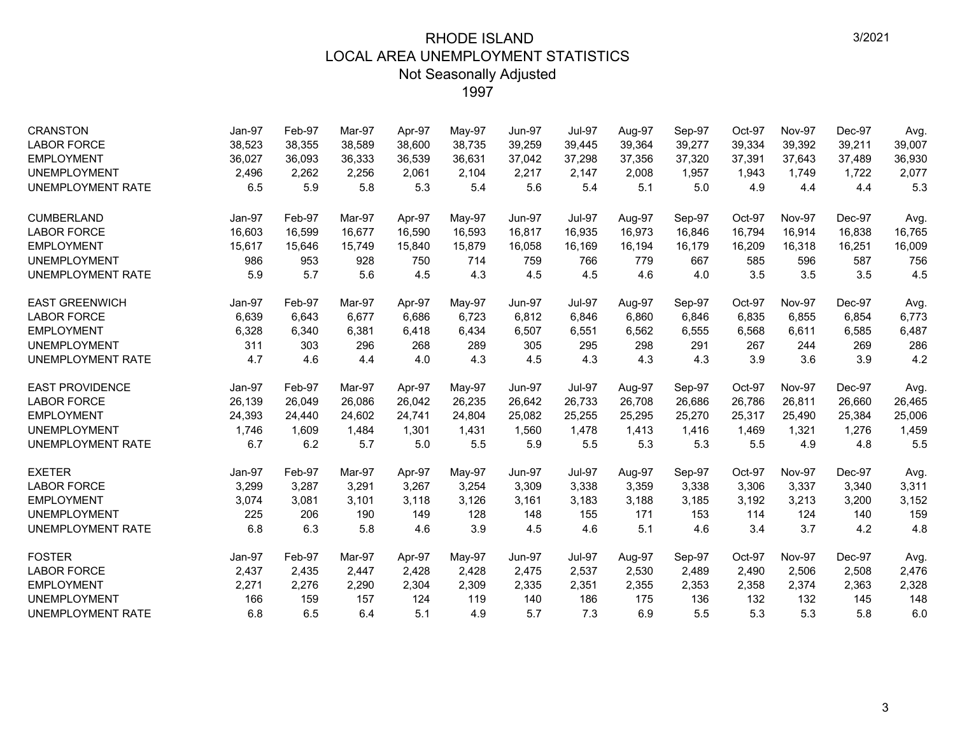| <b>CRANSTON</b>          | Jan-97 | Feb-97 | Mar-97 | Apr-97 | May-97 | <b>Jun-97</b> | <b>Jul-97</b> | Aug-97 | Sep-97  | Oct-97 | <b>Nov-97</b> | Dec-97 | Avg.   |
|--------------------------|--------|--------|--------|--------|--------|---------------|---------------|--------|---------|--------|---------------|--------|--------|
| <b>LABOR FORCE</b>       | 38,523 | 38,355 | 38.589 | 38,600 | 38,735 | 39,259        | 39,445        | 39,364 | 39,277  | 39,334 | 39,392        | 39,211 | 39,007 |
| <b>EMPLOYMENT</b>        | 36,027 | 36,093 | 36,333 | 36,539 | 36,631 | 37,042        | 37,298        | 37,356 | 37,320  | 37,391 | 37,643        | 37,489 | 36,930 |
| <b>UNEMPLOYMENT</b>      | 2,496  | 2,262  | 2,256  | 2,061  | 2,104  | 2,217         | 2,147         | 2,008  | 1,957   | 1,943  | 1.749         | 1.722  | 2,077  |
| <b>UNEMPLOYMENT RATE</b> | 6.5    | 5.9    | 5.8    | 5.3    | 5.4    | 5.6           | 5.4           | 5.1    | $5.0\,$ | 4.9    | 4.4           | 4.4    | 5.3    |
| <b>CUMBERLAND</b>        | Jan-97 | Feb-97 | Mar-97 | Apr-97 | May-97 | Jun-97        | <b>Jul-97</b> | Aug-97 | Sep-97  | Oct-97 | <b>Nov-97</b> | Dec-97 | Avg.   |
| <b>LABOR FORCE</b>       | 16,603 | 16,599 | 16,677 | 16,590 | 16,593 | 16,817        | 16,935        | 16,973 | 16,846  | 16,794 | 16,914        | 16,838 | 16,765 |
| <b>EMPLOYMENT</b>        | 15,617 | 15,646 | 15,749 | 15,840 | 15,879 | 16,058        | 16,169        | 16,194 | 16,179  | 16,209 | 16,318        | 16,251 | 16,009 |
| <b>UNEMPLOYMENT</b>      | 986    | 953    | 928    | 750    | 714    | 759           | 766           | 779    | 667     | 585    | 596           | 587    | 756    |
| UNEMPLOYMENT RATE        | 5.9    | 5.7    | 5.6    | 4.5    | 4.3    | 4.5           | 4.5           | 4.6    | 4.0     | 3.5    | 3.5           | 3.5    | 4.5    |
| <b>EAST GREENWICH</b>    | Jan-97 | Feb-97 | Mar-97 | Apr-97 | May-97 | <b>Jun-97</b> | <b>Jul-97</b> | Aug-97 | Sep-97  | Oct-97 | <b>Nov-97</b> | Dec-97 | Avg.   |
| <b>LABOR FORCE</b>       | 6,639  | 6,643  | 6.677  | 6,686  | 6,723  | 6,812         | 6,846         | 6,860  | 6,846   | 6,835  | 6,855         | 6,854  | 6,773  |
| <b>EMPLOYMENT</b>        | 6,328  | 6,340  | 6,381  | 6,418  | 6,434  | 6,507         | 6,551         | 6,562  | 6,555   | 6,568  | 6,611         | 6,585  | 6,487  |
| <b>UNEMPLOYMENT</b>      | 311    | 303    | 296    | 268    | 289    | 305           | 295           | 298    | 291     | 267    | 244           | 269    | 286    |
| <b>UNEMPLOYMENT RATE</b> | 4.7    | 4.6    | 4.4    | 4.0    | 4.3    | 4.5           | 4.3           | 4.3    | 4.3     | 3.9    | 3.6           | 3.9    | 4.2    |
| <b>EAST PROVIDENCE</b>   | Jan-97 | Feb-97 | Mar-97 | Apr-97 | May-97 | <b>Jun-97</b> | <b>Jul-97</b> | Aug-97 | Sep-97  | Oct-97 | Nov-97        | Dec-97 | Avg.   |
| <b>LABOR FORCE</b>       | 26,139 | 26,049 | 26,086 | 26,042 | 26,235 | 26,642        | 26,733        | 26,708 | 26,686  | 26,786 | 26,811        | 26,660 | 26,465 |
| <b>EMPLOYMENT</b>        | 24,393 | 24,440 | 24.602 | 24,741 | 24,804 | 25,082        | 25,255        | 25,295 | 25,270  | 25,317 | 25,490        | 25,384 | 25,006 |
| <b>UNEMPLOYMENT</b>      | 1,746  | 1,609  | 1,484  | 1,301  | 1,431  | 1,560         | 1,478         | 1,413  | 1,416   | 1,469  | 1,321         | 1,276  | 1,459  |
| UNEMPLOYMENT RATE        | 6.7    | 6.2    | 5.7    | 5.0    | 5.5    | 5.9           | 5.5           | 5.3    | 5.3     | 5.5    | 4.9           | 4.8    | 5.5    |
| <b>EXETER</b>            | Jan-97 | Feb-97 | Mar-97 | Apr-97 | May-97 | <b>Jun-97</b> | <b>Jul-97</b> | Aug-97 | Sep-97  | Oct-97 | <b>Nov-97</b> | Dec-97 | Avg.   |
| <b>LABOR FORCE</b>       | 3,299  | 3,287  | 3,291  | 3,267  | 3,254  | 3,309         | 3,338         | 3,359  | 3,338   | 3,306  | 3,337         | 3,340  | 3,311  |
| <b>EMPLOYMENT</b>        | 3,074  | 3,081  | 3,101  | 3,118  | 3,126  | 3,161         | 3,183         | 3,188  | 3,185   | 3,192  | 3,213         | 3,200  | 3,152  |
| <b>UNEMPLOYMENT</b>      | 225    | 206    | 190    | 149    | 128    | 148           | 155           | 171    | 153     | 114    | 124           | 140    | 159    |
| UNEMPLOYMENT RATE        | 6.8    | 6.3    | 5.8    | 4.6    | 3.9    | 4.5           | 4.6           | 5.1    | 4.6     | 3.4    | 3.7           | 4.2    | 4.8    |
| <b>FOSTER</b>            | Jan-97 | Feb-97 | Mar-97 | Apr-97 | May-97 | <b>Jun-97</b> | <b>Jul-97</b> | Aug-97 | Sep-97  | Oct-97 | <b>Nov-97</b> | Dec-97 | Avg.   |
| <b>LABOR FORCE</b>       | 2,437  | 2,435  | 2,447  | 2,428  | 2,428  | 2,475         | 2,537         | 2,530  | 2,489   | 2,490  | 2,506         | 2,508  | 2,476  |
| <b>EMPLOYMENT</b>        | 2,271  | 2,276  | 2,290  | 2,304  | 2,309  | 2,335         | 2,351         | 2,355  | 2,353   | 2,358  | 2,374         | 2,363  | 2,328  |
| <b>UNEMPLOYMENT</b>      | 166    | 159    | 157    | 124    | 119    | 140           | 186           | 175    | 136     | 132    | 132           | 145    | 148    |
| UNEMPLOYMENT RATE        | 6.8    | 6.5    | 6.4    | 5.1    | 4.9    | 5.7           | 7.3           | 6.9    | 5.5     | 5.3    | 5.3           | 5.8    | 6.0    |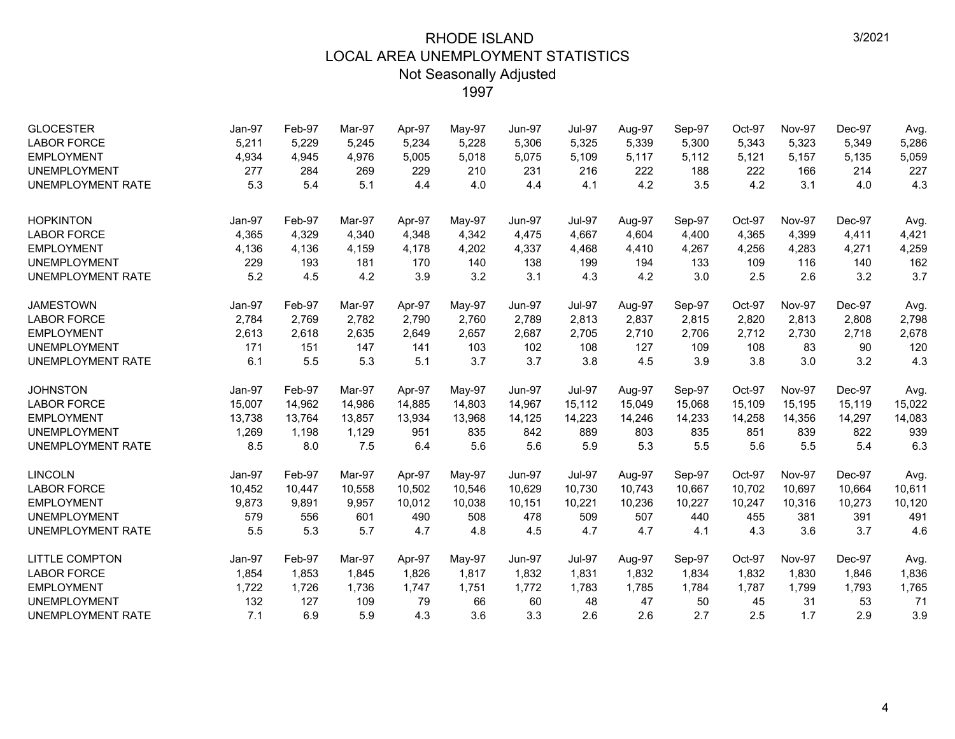| <b>GLOCESTER</b>         | Jan-97 | Feb-97 | Mar-97 | Apr-97 | May-97 | <b>Jun-97</b> | <b>Jul-97</b> | Aug-97 | Sep-97 | Oct-97 | <b>Nov-97</b> | Dec-97 | Avg.   |
|--------------------------|--------|--------|--------|--------|--------|---------------|---------------|--------|--------|--------|---------------|--------|--------|
| <b>LABOR FORCE</b>       | 5,211  | 5,229  | 5,245  | 5,234  | 5,228  | 5,306         | 5,325         | 5,339  | 5,300  | 5,343  | 5,323         | 5,349  | 5,286  |
| <b>EMPLOYMENT</b>        | 4,934  | 4,945  | 4,976  | 5,005  | 5,018  | 5,075         | 5,109         | 5,117  | 5,112  | 5,121  | 5,157         | 5,135  | 5,059  |
| <b>UNEMPLOYMENT</b>      | 277    | 284    | 269    | 229    | 210    | 231           | 216           | 222    | 188    | 222    | 166           | 214    | 227    |
| <b>UNEMPLOYMENT RATE</b> | 5.3    | 5.4    | 5.1    | 4.4    | 4.0    | 4.4           | 4.1           | 4.2    | 3.5    | 4.2    | 3.1           | 4.0    | 4.3    |
| <b>HOPKINTON</b>         | Jan-97 | Feb-97 | Mar-97 | Apr-97 | May-97 | <b>Jun-97</b> | <b>Jul-97</b> | Aug-97 | Sep-97 | Oct-97 | <b>Nov-97</b> | Dec-97 | Avg.   |
| <b>LABOR FORCE</b>       | 4,365  | 4,329  | 4,340  | 4,348  | 4,342  | 4,475         | 4,667         | 4,604  | 4,400  | 4,365  | 4,399         | 4,411  | 4,421  |
| <b>EMPLOYMENT</b>        | 4,136  | 4,136  | 4,159  | 4,178  | 4,202  | 4,337         | 4,468         | 4,410  | 4,267  | 4,256  | 4,283         | 4,271  | 4,259  |
| <b>UNEMPLOYMENT</b>      | 229    | 193    | 181    | 170    | 140    | 138           | 199           | 194    | 133    | 109    | 116           | 140    | 162    |
| UNEMPLOYMENT RATE        | 5.2    | 4.5    | 4.2    | 3.9    | 3.2    | 3.1           | 4.3           | 4.2    | 3.0    | 2.5    | 2.6           | 3.2    | 3.7    |
| <b>JAMESTOWN</b>         | Jan-97 | Feb-97 | Mar-97 | Apr-97 | May-97 | <b>Jun-97</b> | <b>Jul-97</b> | Aug-97 | Sep-97 | Oct-97 | <b>Nov-97</b> | Dec-97 | Avg.   |
| <b>LABOR FORCE</b>       | 2,784  | 2,769  | 2,782  | 2,790  | 2,760  | 2,789         | 2,813         | 2,837  | 2,815  | 2,820  | 2,813         | 2,808  | 2,798  |
| <b>EMPLOYMENT</b>        | 2,613  | 2,618  | 2,635  | 2,649  | 2,657  | 2,687         | 2,705         | 2,710  | 2,706  | 2,712  | 2,730         | 2,718  | 2,678  |
| <b>UNEMPLOYMENT</b>      | 171    | 151    | 147    | 141    | 103    | 102           | 108           | 127    | 109    | 108    | 83            | 90     | 120    |
| UNEMPLOYMENT RATE        | 6.1    | 5.5    | 5.3    | 5.1    | 3.7    | 3.7           | 3.8           | 4.5    | 3.9    | 3.8    | 3.0           | 3.2    | 4.3    |
| <b>JOHNSTON</b>          | Jan-97 | Feb-97 | Mar-97 | Apr-97 | May-97 | <b>Jun-97</b> | <b>Jul-97</b> | Aug-97 | Sep-97 | Oct-97 | <b>Nov-97</b> | Dec-97 | Avg.   |
| <b>LABOR FORCE</b>       | 15,007 | 14,962 | 14,986 | 14,885 | 14,803 | 14,967        | 15,112        | 15,049 | 15,068 | 15,109 | 15,195        | 15,119 | 15,022 |
| <b>EMPLOYMENT</b>        | 13,738 | 13,764 | 13,857 | 13,934 | 13,968 | 14,125        | 14,223        | 14,246 | 14,233 | 14,258 | 14,356        | 14,297 | 14,083 |
| <b>UNEMPLOYMENT</b>      | 1,269  | 1,198  | 1,129  | 951    | 835    | 842           | 889           | 803    | 835    | 851    | 839           | 822    | 939    |
| UNEMPLOYMENT RATE        | 8.5    | 8.0    | 7.5    | 6.4    | 5.6    | 5.6           | 5.9           | 5.3    | 5.5    | 5.6    | 5.5           | 5.4    | 6.3    |
| <b>LINCOLN</b>           | Jan-97 | Feb-97 | Mar-97 | Apr-97 | May-97 | <b>Jun-97</b> | <b>Jul-97</b> | Aug-97 | Sep-97 | Oct-97 | <b>Nov-97</b> | Dec-97 | Avg.   |
| <b>LABOR FORCE</b>       | 10,452 | 10,447 | 10,558 | 10,502 | 10,546 | 10,629        | 10,730        | 10,743 | 10,667 | 10,702 | 10,697        | 10,664 | 10,611 |
| <b>EMPLOYMENT</b>        | 9,873  | 9,891  | 9,957  | 10,012 | 10,038 | 10,151        | 10,221        | 10,236 | 10,227 | 10,247 | 10,316        | 10,273 | 10,120 |
| <b>UNEMPLOYMENT</b>      | 579    | 556    | 601    | 490    | 508    | 478           | 509           | 507    | 440    | 455    | 381           | 391    | 491    |
| UNEMPLOYMENT RATE        | 5.5    | 5.3    | 5.7    | 4.7    | 4.8    | 4.5           | 4.7           | 4.7    | 4.1    | 4.3    | 3.6           | 3.7    | 4.6    |
| <b>LITTLE COMPTON</b>    | Jan-97 | Feb-97 | Mar-97 | Apr-97 | May-97 | <b>Jun-97</b> | <b>Jul-97</b> | Aug-97 | Sep-97 | Oct-97 | <b>Nov-97</b> | Dec-97 | Avg.   |
| <b>LABOR FORCE</b>       | 1,854  | 1,853  | 1,845  | 1,826  | 1,817  | 1,832         | 1,831         | 1,832  | 1,834  | 1,832  | 1,830         | 1,846  | 1,836  |
| <b>EMPLOYMENT</b>        | 1,722  | 1,726  | 1,736  | 1,747  | 1,751  | 1,772         | 1,783         | 1,785  | 1,784  | 1,787  | 1,799         | 1,793  | 1,765  |
| <b>UNEMPLOYMENT</b>      | 132    | 127    | 109    | 79     | 66     | 60            | 48            | 47     | 50     | 45     | 31            | 53     | 71     |
| UNEMPLOYMENT RATE        | 7.1    | 6.9    | 5.9    | 4.3    | 3.6    | 3.3           | 2.6           | 2.6    | 2.7    | 2.5    | 1.7           | 2.9    | 3.9    |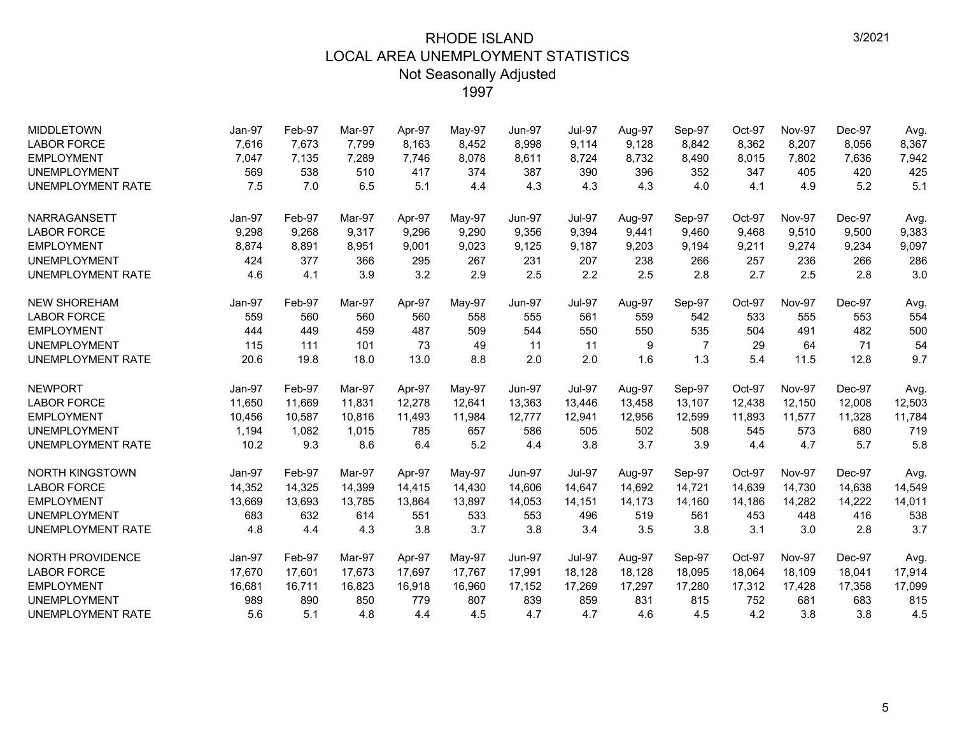| <b>MIDDLETOWN</b>        | Jan-97 | Feb-97 | Mar-97 | Apr-97 | May-97   | <b>Jun-97</b> | <b>Jul-97</b> | Aug-97 | Sep-97         | Oct-97 | Nov-97        | Dec-97 | Avg.   |
|--------------------------|--------|--------|--------|--------|----------|---------------|---------------|--------|----------------|--------|---------------|--------|--------|
| <b>LABOR FORCE</b>       | 7,616  | 7,673  | 7,799  | 8,163  | 8,452    | 8,998         | 9,114         | 9,128  | 8,842          | 8,362  | 8,207         | 8,056  | 8,367  |
| <b>EMPLOYMENT</b>        | 7,047  | 7,135  | 7,289  | 7,746  | 8,078    | 8,611         | 8,724         | 8,732  | 8,490          | 8,015  | 7,802         | 7,636  | 7,942  |
| <b>UNEMPLOYMENT</b>      | 569    | 538    | 510    | 417    | 374      | 387           | 390           | 396    | 352            | 347    | 405           | 420    | 425    |
| <b>UNEMPLOYMENT RATE</b> | 7.5    | 7.0    | 6.5    | 5.1    | 4.4      | 4.3           | 4.3           | 4.3    | 4.0            | 4.1    | 4.9           | 5.2    | 5.1    |
| NARRAGANSETT             | Jan-97 | Feb-97 | Mar-97 | Apr-97 | $May-97$ | <b>Jun-97</b> | <b>Jul-97</b> | Aug-97 | Sep-97         | Oct-97 | Nov-97        | Dec-97 | Avg.   |
| <b>LABOR FORCE</b>       | 9,298  | 9,268  | 9.317  | 9,296  | 9,290    | 9,356         | 9,394         | 9,441  | 9,460          | 9,468  | 9,510         | 9,500  | 9,383  |
| <b>EMPLOYMENT</b>        | 8,874  | 8,891  | 8,951  | 9,001  | 9,023    | 9,125         | 9,187         | 9,203  | 9,194          | 9,211  | 9,274         | 9,234  | 9,097  |
| <b>UNEMPLOYMENT</b>      | 424    | 377    | 366    | 295    | 267      | 231           | 207           | 238    | 266            | 257    | 236           | 266    | 286    |
| <b>UNEMPLOYMENT RATE</b> | 4.6    | 4.1    | 3.9    | 3.2    | 2.9      | 2.5           | 2.2           | 2.5    | 2.8            | 2.7    | 2.5           | 2.8    | 3.0    |
| <b>NEW SHOREHAM</b>      | Jan-97 | Feb-97 | Mar-97 | Apr-97 | May-97   | <b>Jun-97</b> | <b>Jul-97</b> | Aug-97 | Sep-97         | Oct-97 | <b>Nov-97</b> | Dec-97 | Avg.   |
| <b>LABOR FORCE</b>       | 559    | 560    | 560    | 560    | 558      | 555           | 561           | 559    | 542            | 533    | 555           | 553    | 554    |
| <b>EMPLOYMENT</b>        | 444    | 449    | 459    | 487    | 509      | 544           | 550           | 550    | 535            | 504    | 491           | 482    | 500    |
| <b>UNEMPLOYMENT</b>      | 115    | 111    | 101    | 73     | 49       | 11            | 11            | 9      | $\overline{7}$ | 29     | 64            | 71     | 54     |
| <b>UNEMPLOYMENT RATE</b> | 20.6   | 19.8   | 18.0   | 13.0   | 8.8      | 2.0           | 2.0           | 1.6    | 1.3            | 5.4    | 11.5          | 12.8   | 9.7    |
| <b>NEWPORT</b>           | Jan-97 | Feb-97 | Mar-97 | Apr-97 | May-97   | <b>Jun-97</b> | <b>Jul-97</b> | Aug-97 | Sep-97         | Oct-97 | <b>Nov-97</b> | Dec-97 | Avg.   |
| <b>LABOR FORCE</b>       | 11,650 | 11,669 | 11,831 | 12,278 | 12,641   | 13,363        | 13,446        | 13,458 | 13,107         | 12,438 | 12,150        | 12,008 | 12,503 |
| <b>EMPLOYMENT</b>        | 10,456 | 10,587 | 10,816 | 11,493 | 11,984   | 12,777        | 12,941        | 12,956 | 12,599         | 11,893 | 11,577        | 11,328 | 11,784 |
| <b>UNEMPLOYMENT</b>      | 1,194  | 1,082  | 1,015  | 785    | 657      | 586           | 505           | 502    | 508            | 545    | 573           | 680    | 719    |
| <b>UNEMPLOYMENT RATE</b> | 10.2   | 9.3    | 8.6    | 6.4    | 5.2      | 4.4           | 3.8           | 3.7    | 3.9            | 4.4    | 4.7           | 5.7    | 5.8    |
| <b>NORTH KINGSTOWN</b>   | Jan-97 | Feb-97 | Mar-97 | Apr-97 | May-97   | <b>Jun-97</b> | <b>Jul-97</b> | Aug-97 | Sep-97         | Oct-97 | <b>Nov-97</b> | Dec-97 | Avg.   |
| <b>LABOR FORCE</b>       | 14,352 | 14,325 | 14,399 | 14,415 | 14,430   | 14,606        | 14,647        | 14,692 | 14,721         | 14,639 | 14,730        | 14,638 | 14,549 |
| <b>EMPLOYMENT</b>        | 13,669 | 13,693 | 13.785 | 13.864 | 13,897   | 14,053        | 14,151        | 14,173 | 14,160         | 14,186 | 14.282        | 14,222 | 14,011 |
| <b>UNEMPLOYMENT</b>      | 683    | 632    | 614    | 551    | 533      | 553           | 496           | 519    | 561            | 453    | 448           | 416    | 538    |
| <b>UNEMPLOYMENT RATE</b> | 4.8    | 4.4    | 4.3    | 3.8    | 3.7      | 3.8           | 3.4           | 3.5    | 3.8            | 3.1    | 3.0           | 2.8    | 3.7    |
| <b>NORTH PROVIDENCE</b>  | Jan-97 | Feb-97 | Mar-97 | Apr-97 | May-97   | <b>Jun-97</b> | <b>Jul-97</b> | Aug-97 | Sep-97         | Oct-97 | <b>Nov-97</b> | Dec-97 | Avg.   |
| <b>LABOR FORCE</b>       | 17,670 | 17,601 | 17,673 | 17,697 | 17,767   | 17,991        | 18,128        | 18,128 | 18,095         | 18,064 | 18,109        | 18,041 | 17,914 |
| <b>EMPLOYMENT</b>        | 16,681 | 16,711 | 16,823 | 16,918 | 16,960   | 17,152        | 17,269        | 17,297 | 17,280         | 17,312 | 17,428        | 17,358 | 17,099 |
| <b>UNEMPLOYMENT</b>      | 989    | 890    | 850    | 779    | 807      | 839           | 859           | 831    | 815            | 752    | 681           | 683    | 815    |
| <b>UNEMPLOYMENT RATE</b> | 5.6    | 5.1    | 4.8    | 4.4    | 4.5      | 4.7           | 4.7           | 4.6    | 4.5            | 4.2    | 3.8           | 3.8    | 4.5    |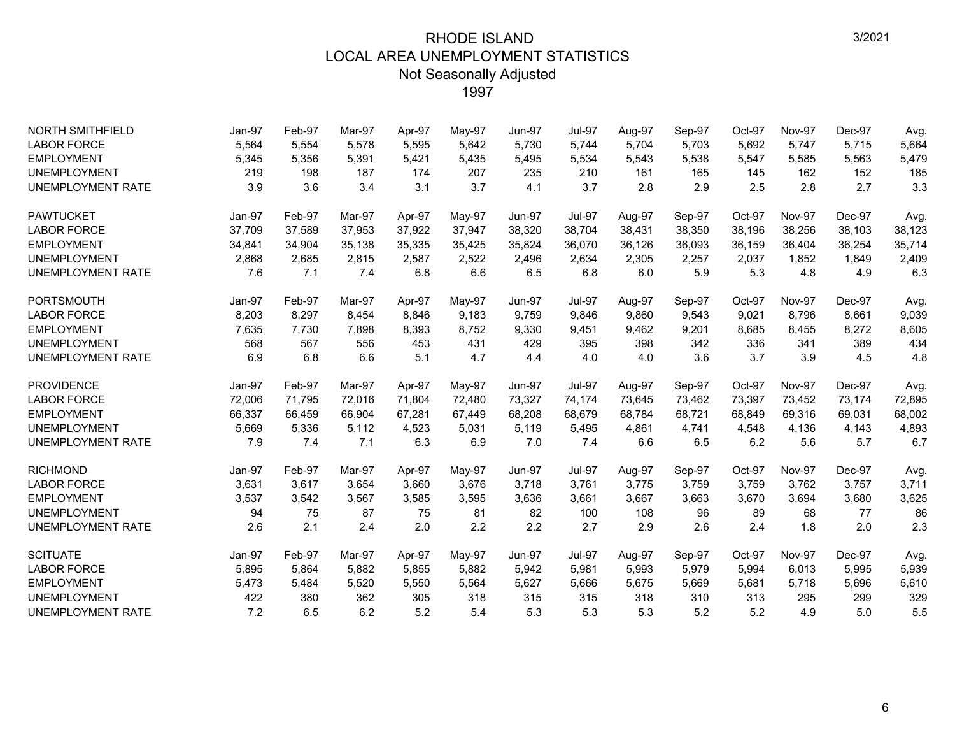| <b>NORTH SMITHFIELD</b>  | Jan-97 | Feb-97 | Mar-97 | Apr-97 | May-97 | <b>Jun-97</b> | Jul-97        | Aug-97 | Sep-97 | Oct-97 | <b>Nov-97</b> | Dec-97 | Avg.   |
|--------------------------|--------|--------|--------|--------|--------|---------------|---------------|--------|--------|--------|---------------|--------|--------|
| <b>LABOR FORCE</b>       | 5,564  | 5,554  | 5.578  | 5,595  | 5,642  | 5.730         | 5,744         | 5,704  | 5,703  | 5,692  | 5,747         | 5,715  | 5,664  |
| <b>EMPLOYMENT</b>        | 5,345  | 5,356  | 5,391  | 5,421  | 5,435  | 5,495         | 5,534         | 5,543  | 5,538  | 5,547  | 5,585         | 5,563  | 5,479  |
| <b>UNEMPLOYMENT</b>      | 219    | 198    | 187    | 174    | 207    | 235           | 210           | 161    | 165    | 145    | 162           | 152    | 185    |
| <b>UNEMPLOYMENT RATE</b> | 3.9    | 3.6    | 3.4    | 3.1    | 3.7    | 4.1           | 3.7           | 2.8    | 2.9    | 2.5    | 2.8           | 2.7    | 3.3    |
| <b>PAWTUCKET</b>         | Jan-97 | Feb-97 | Mar-97 | Apr-97 | May-97 | <b>Jun-97</b> | <b>Jul-97</b> | Aug-97 | Sep-97 | Oct-97 | <b>Nov-97</b> | Dec-97 | Avg.   |
| <b>LABOR FORCE</b>       | 37,709 | 37,589 | 37,953 | 37,922 | 37,947 | 38,320        | 38,704        | 38,431 | 38,350 | 38.196 | 38,256        | 38,103 | 38,123 |
| <b>EMPLOYMENT</b>        | 34,841 | 34,904 | 35,138 | 35,335 | 35,425 | 35,824        | 36,070        | 36,126 | 36,093 | 36,159 | 36,404        | 36,254 | 35,714 |
| <b>UNEMPLOYMENT</b>      | 2,868  | 2,685  | 2,815  | 2,587  | 2,522  | 2,496         | 2,634         | 2,305  | 2,257  | 2,037  | 1,852         | 1,849  | 2,409  |
| <b>UNEMPLOYMENT RATE</b> | 7.6    | 7.1    | 7.4    | 6.8    | 6.6    | 6.5           | 6.8           | 6.0    | 5.9    | 5.3    | 4.8           | 4.9    | 6.3    |
| <b>PORTSMOUTH</b>        | Jan-97 | Feb-97 | Mar-97 | Apr-97 | May-97 | <b>Jun-97</b> | <b>Jul-97</b> | Aug-97 | Sep-97 | Oct-97 | <b>Nov-97</b> | Dec-97 | Avg.   |
| <b>LABOR FORCE</b>       | 8,203  | 8,297  | 8.454  | 8,846  | 9,183  | 9.759         | 9.846         | 9,860  | 9,543  | 9,021  | 8,796         | 8,661  | 9,039  |
| <b>EMPLOYMENT</b>        | 7,635  | 7,730  | 7,898  | 8,393  | 8,752  | 9,330         | 9,451         | 9,462  | 9,201  | 8,685  | 8,455         | 8,272  | 8,605  |
| <b>UNEMPLOYMENT</b>      | 568    | 567    | 556    | 453    | 431    | 429           | 395           | 398    | 342    | 336    | 341           | 389    | 434    |
| <b>UNEMPLOYMENT RATE</b> | 6.9    | 6.8    | 6.6    | 5.1    | 4.7    | 4.4           | 4.0           | 4.0    | 3.6    | 3.7    | 3.9           | 4.5    | 4.8    |
| <b>PROVIDENCE</b>        | Jan-97 | Feb-97 | Mar-97 | Apr-97 | May-97 | <b>Jun-97</b> | <b>Jul-97</b> | Aug-97 | Sep-97 | Oct-97 | <b>Nov-97</b> | Dec-97 | Avg.   |
| <b>LABOR FORCE</b>       | 72,006 | 71,795 | 72,016 | 71,804 | 72,480 | 73,327        | 74,174        | 73,645 | 73,462 | 73,397 | 73,452        | 73,174 | 72,895 |
| <b>EMPLOYMENT</b>        | 66,337 | 66,459 | 66,904 | 67,281 | 67,449 | 68,208        | 68,679        | 68,784 | 68,721 | 68,849 | 69,316        | 69,031 | 68,002 |
| <b>UNEMPLOYMENT</b>      | 5,669  | 5,336  | 5,112  | 4,523  | 5,031  | 5,119         | 5,495         | 4,861  | 4,741  | 4,548  | 4,136         | 4,143  | 4,893  |
| <b>UNEMPLOYMENT RATE</b> | 7.9    | 7.4    | 7.1    | 6.3    | 6.9    | 7.0           | 7.4           | 6.6    | 6.5    | 6.2    | 5.6           | 5.7    | 6.7    |
| <b>RICHMOND</b>          | Jan-97 | Feb-97 | Mar-97 | Apr-97 | May-97 | <b>Jun-97</b> | <b>Jul-97</b> | Aug-97 | Sep-97 | Oct-97 | <b>Nov-97</b> | Dec-97 | Avg.   |
| <b>LABOR FORCE</b>       | 3,631  | 3,617  | 3.654  | 3,660  | 3,676  | 3.718         | 3,761         | 3,775  | 3,759  | 3,759  | 3,762         | 3,757  | 3.711  |
| <b>EMPLOYMENT</b>        | 3,537  | 3,542  | 3,567  | 3,585  | 3,595  | 3,636         | 3,661         | 3,667  | 3,663  | 3,670  | 3,694         | 3,680  | 3,625  |
| <b>UNEMPLOYMENT</b>      | 94     | 75     | 87     | 75     | 81     | 82            | 100           | 108    | 96     | 89     | 68            | 77     | 86     |
| <b>UNEMPLOYMENT RATE</b> | 2.6    | 2.1    | 2.4    | 2.0    | 2.2    | 2.2           | 2.7           | 2.9    | 2.6    | 2.4    | 1.8           | 2.0    | 2.3    |
| <b>SCITUATE</b>          | Jan-97 | Feb-97 | Mar-97 | Apr-97 | May-97 | <b>Jun-97</b> | <b>Jul-97</b> | Aug-97 | Sep-97 | Oct-97 | <b>Nov-97</b> | Dec-97 | Avg.   |
| <b>LABOR FORCE</b>       | 5,895  | 5,864  | 5,882  | 5,855  | 5,882  | 5,942         | 5,981         | 5,993  | 5,979  | 5,994  | 6,013         | 5,995  | 5,939  |
| <b>EMPLOYMENT</b>        | 5,473  | 5,484  | 5,520  | 5,550  | 5,564  | 5,627         | 5,666         | 5,675  | 5,669  | 5,681  | 5,718         | 5,696  | 5,610  |
| <b>UNEMPLOYMENT</b>      | 422    | 380    | 362    | 305    | 318    | 315           | 315           | 318    | 310    | 313    | 295           | 299    | 329    |
| <b>UNEMPLOYMENT RATE</b> | 7.2    | 6.5    | 6.2    | 5.2    | 5.4    | 5.3           | 5.3           | 5.3    | 5.2    | 5.2    | 4.9           | 5.0    | 5.5    |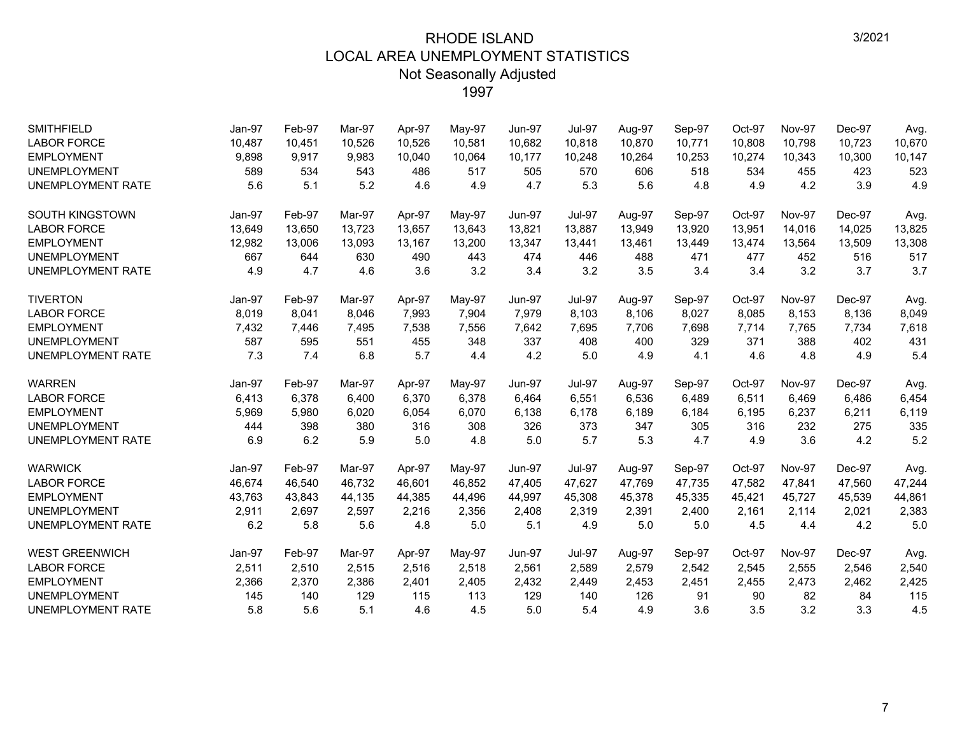| <b>SMITHFIELD</b>        | Jan-97 | Feb-97 | Mar-97 | Apr-97 | May-97   | <b>Jun-97</b> | <b>Jul-97</b> | Aug-97 | Sep-97 | Oct-97 | <b>Nov-97</b> | Dec-97 | Avg.   |
|--------------------------|--------|--------|--------|--------|----------|---------------|---------------|--------|--------|--------|---------------|--------|--------|
| <b>LABOR FORCE</b>       | 10,487 | 10.451 | 10.526 | 10,526 | 10,581   | 10,682        | 10,818        | 10,870 | 10,771 | 10,808 | 10.798        | 10.723 | 10,670 |
| <b>EMPLOYMENT</b>        | 9,898  | 9,917  | 9,983  | 10,040 | 10,064   | 10,177        | 10,248        | 10,264 | 10,253 | 10,274 | 10,343        | 10,300 | 10,147 |
| <b>UNEMPLOYMENT</b>      | 589    | 534    | 543    | 486    | 517      | 505           | 570           | 606    | 518    | 534    | 455           | 423    | 523    |
| <b>UNEMPLOYMENT RATE</b> | 5.6    | 5.1    | 5.2    | 4.6    | 4.9      | 4.7           | 5.3           | 5.6    | 4.8    | 4.9    | 4.2           | 3.9    | 4.9    |
| <b>SOUTH KINGSTOWN</b>   | Jan-97 | Feb-97 | Mar-97 | Apr-97 | May-97   | <b>Jun-97</b> | <b>Jul-97</b> | Aug-97 | Sep-97 | Oct-97 | <b>Nov-97</b> | Dec-97 | Avg.   |
| <b>LABOR FORCE</b>       | 13,649 | 13,650 | 13,723 | 13,657 | 13,643   | 13,821        | 13,887        | 13,949 | 13,920 | 13,951 | 14,016        | 14,025 | 13,825 |
| <b>EMPLOYMENT</b>        | 12,982 | 13,006 | 13,093 | 13,167 | 13,200   | 13,347        | 13,441        | 13,461 | 13,449 | 13,474 | 13,564        | 13,509 | 13,308 |
| <b>UNEMPLOYMENT</b>      | 667    | 644    | 630    | 490    | 443      | 474           | 446           | 488    | 471    | 477    | 452           | 516    | 517    |
| <b>UNEMPLOYMENT RATE</b> | 4.9    | 4.7    | 4.6    | 3.6    | 3.2      | 3.4           | 3.2           | 3.5    | 3.4    | 3.4    | 3.2           | 3.7    | 3.7    |
| <b>TIVERTON</b>          | Jan-97 | Feb-97 | Mar-97 | Apr-97 | May-97   | <b>Jun-97</b> | <b>Jul-97</b> | Aug-97 | Sep-97 | Oct-97 | Nov-97        | Dec-97 | Avg.   |
| <b>LABOR FORCE</b>       | 8,019  | 8,041  | 8,046  | 7,993  | 7,904    | 7,979         | 8,103         | 8,106  | 8,027  | 8,085  | 8,153         | 8,136  | 8,049  |
| <b>EMPLOYMENT</b>        | 7,432  | 7,446  | 7,495  | 7,538  | 7,556    | 7,642         | 7,695         | 7.706  | 7,698  | 7,714  | 7,765         | 7,734  | 7,618  |
| <b>UNEMPLOYMENT</b>      | 587    | 595    | 551    | 455    | 348      | 337           | 408           | 400    | 329    | 371    | 388           | 402    | 431    |
| <b>UNEMPLOYMENT RATE</b> | 7.3    | 7.4    | 6.8    | 5.7    | 4.4      | 4.2           | 5.0           | 4.9    | 4.1    | 4.6    | 4.8           | 4.9    | 5.4    |
| <b>WARREN</b>            | Jan-97 | Feb-97 | Mar-97 | Apr-97 | May-97   | <b>Jun-97</b> | <b>Jul-97</b> | Aug-97 | Sep-97 | Oct-97 | <b>Nov-97</b> | Dec-97 | Avg.   |
| <b>LABOR FORCE</b>       | 6,413  | 6,378  | 6.400  | 6,370  | 6,378    | 6,464         | 6,551         | 6.536  | 6,489  | 6,511  | 6,469         | 6.486  | 6,454  |
| <b>EMPLOYMENT</b>        | 5,969  | 5,980  | 6,020  | 6,054  | 6,070    | 6,138         | 6,178         | 6,189  | 6,184  | 6,195  | 6,237         | 6,211  | 6,119  |
| <b>UNEMPLOYMENT</b>      | 444    | 398    | 380    | 316    | 308      | 326           | 373           | 347    | 305    | 316    | 232           | 275    | 335    |
| <b>UNEMPLOYMENT RATE</b> | 6.9    | 6.2    | 5.9    | 5.0    | 4.8      | 5.0           | 5.7           | 5.3    | 4.7    | 4.9    | 3.6           | 4.2    | 5.2    |
| <b>WARWICK</b>           | Jan-97 | Feb-97 | Mar-97 | Apr-97 | $May-97$ | <b>Jun-97</b> | <b>Jul-97</b> | Aug-97 | Sep-97 | Oct-97 | <b>Nov-97</b> | Dec-97 | Avg.   |
| <b>LABOR FORCE</b>       | 46,674 | 46,540 | 46,732 | 46,601 | 46,852   | 47,405        | 47,627        | 47,769 | 47,735 | 47,582 | 47,841        | 47,560 | 47,244 |
| <b>EMPLOYMENT</b>        | 43.763 | 43,843 | 44,135 | 44,385 | 44,496   | 44,997        | 45.308        | 45,378 | 45,335 | 45,421 | 45.727        | 45,539 | 44,861 |
| <b>UNEMPLOYMENT</b>      | 2,911  | 2,697  | 2,597  | 2,216  | 2,356    | 2,408         | 2,319         | 2,391  | 2,400  | 2,161  | 2,114         | 2,021  | 2,383  |
| <b>UNEMPLOYMENT RATE</b> | 6.2    | 5.8    | 5.6    | 4.8    | 5.0      | 5.1           | 4.9           | 5.0    | 5.0    | 4.5    | 4.4           | 4.2    | 5.0    |
| <b>WEST GREENWICH</b>    | Jan-97 | Feb-97 | Mar-97 | Apr-97 | May-97   | <b>Jun-97</b> | <b>Jul-97</b> | Aug-97 | Sep-97 | Oct-97 | <b>Nov-97</b> | Dec-97 | Avg.   |
| <b>LABOR FORCE</b>       | 2,511  | 2,510  | 2,515  | 2,516  | 2,518    | 2,561         | 2,589         | 2,579  | 2,542  | 2,545  | 2,555         | 2,546  | 2,540  |
| <b>EMPLOYMENT</b>        | 2,366  | 2,370  | 2,386  | 2,401  | 2,405    | 2,432         | 2,449         | 2,453  | 2,451  | 2,455  | 2,473         | 2,462  | 2,425  |
| <b>UNEMPLOYMENT</b>      | 145    | 140    | 129    | 115    | 113      | 129           | 140           | 126    | 91     | 90     | 82            | 84     | 115    |
| <b>UNEMPLOYMENT RATE</b> | 5.8    | 5.6    | 5.1    | 4.6    | 4.5      | 5.0           | 5.4           | 4.9    | 3.6    | 3.5    | 3.2           | 3.3    | 4.5    |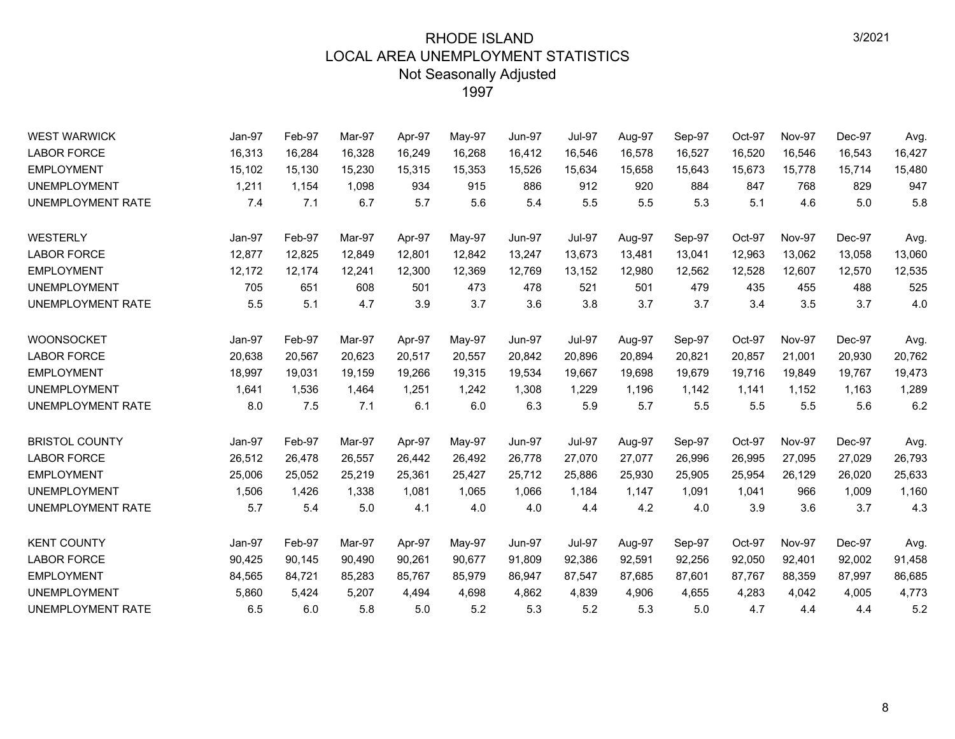| <b>WEST WARWICK</b>      | Jan-97 | Feb-97 | Mar-97 | Apr-97 | May-97 | <b>Jun-97</b> | <b>Jul-97</b> | Aug-97 | Sep-97 | Oct-97 | <b>Nov-97</b> | Dec-97 | Avg.   |
|--------------------------|--------|--------|--------|--------|--------|---------------|---------------|--------|--------|--------|---------------|--------|--------|
| <b>LABOR FORCE</b>       | 16,313 | 16,284 | 16,328 | 16,249 | 16,268 | 16,412        | 16,546        | 16,578 | 16,527 | 16,520 | 16,546        | 16,543 | 16,427 |
| <b>EMPLOYMENT</b>        | 15,102 | 15,130 | 15,230 | 15,315 | 15,353 | 15,526        | 15,634        | 15,658 | 15,643 | 15,673 | 15,778        | 15,714 | 15,480 |
| <b>UNEMPLOYMENT</b>      | 1,211  | 1,154  | 1,098  | 934    | 915    | 886           | 912           | 920    | 884    | 847    | 768           | 829    | 947    |
| UNEMPLOYMENT RATE        | 7.4    | 7.1    | 6.7    | 5.7    | 5.6    | 5.4           | 5.5           | 5.5    | 5.3    | 5.1    | 4.6           | 5.0    | 5.8    |
| WESTERLY                 | Jan-97 | Feb-97 | Mar-97 | Apr-97 | May-97 | <b>Jun-97</b> | <b>Jul-97</b> | Aug-97 | Sep-97 | Oct-97 | Nov-97        | Dec-97 | Avg.   |
| <b>LABOR FORCE</b>       | 12,877 | 12,825 | 12,849 | 12,801 | 12,842 | 13,247        | 13,673        | 13,481 | 13,041 | 12,963 | 13,062        | 13,058 | 13,060 |
| <b>EMPLOYMENT</b>        | 12,172 | 12,174 | 12,241 | 12,300 | 12,369 | 12,769        | 13,152        | 12,980 | 12,562 | 12,528 | 12,607        | 12,570 | 12,535 |
| <b>UNEMPLOYMENT</b>      | 705    | 651    | 608    | 501    | 473    | 478           | 521           | 501    | 479    | 435    | 455           | 488    | 525    |
| UNEMPLOYMENT RATE        | 5.5    | 5.1    | 4.7    | 3.9    | 3.7    | 3.6           | 3.8           | 3.7    | 3.7    | 3.4    | 3.5           | 3.7    | 4.0    |
| <b>WOONSOCKET</b>        | Jan-97 | Feb-97 | Mar-97 | Apr-97 | May-97 | <b>Jun-97</b> | <b>Jul-97</b> | Aug-97 | Sep-97 | Oct-97 | <b>Nov-97</b> | Dec-97 | Avg.   |
| <b>LABOR FORCE</b>       | 20,638 | 20,567 | 20,623 | 20,517 | 20,557 | 20,842        | 20,896        | 20,894 | 20,821 | 20,857 | 21,001        | 20,930 | 20,762 |
| <b>EMPLOYMENT</b>        | 18.997 | 19,031 | 19.159 | 19,266 | 19,315 | 19.534        | 19.667        | 19,698 | 19.679 | 19.716 | 19.849        | 19.767 | 19,473 |
| <b>UNEMPLOYMENT</b>      | 1,641  | 1,536  | 1,464  | 1,251  | 1,242  | 1,308         | 1,229         | 1,196  | 1,142  | 1,141  | 1,152         | 1,163  | 1,289  |
| UNEMPLOYMENT RATE        | 8.0    | 7.5    | 7.1    | 6.1    | 6.0    | 6.3           | 5.9           | 5.7    | 5.5    | 5.5    | 5.5           | 5.6    | 6.2    |
| <b>BRISTOL COUNTY</b>    | Jan-97 | Feb-97 | Mar-97 | Apr-97 | May-97 | <b>Jun-97</b> | <b>Jul-97</b> | Aug-97 | Sep-97 | Oct-97 | <b>Nov-97</b> | Dec-97 | Avg.   |
| <b>LABOR FORCE</b>       | 26,512 | 26,478 | 26,557 | 26,442 | 26,492 | 26,778        | 27,070        | 27,077 | 26,996 | 26,995 | 27,095        | 27,029 | 26,793 |
| <b>EMPLOYMENT</b>        | 25,006 | 25,052 | 25,219 | 25,361 | 25,427 | 25,712        | 25,886        | 25,930 | 25,905 | 25,954 | 26,129        | 26,020 | 25,633 |
| <b>UNEMPLOYMENT</b>      | 1,506  | 1,426  | 1,338  | 1,081  | 1,065  | 1,066         | 1,184         | 1,147  | 1,091  | 1,041  | 966           | 1,009  | 1,160  |
| <b>UNEMPLOYMENT RATE</b> | 5.7    | 5.4    | 5.0    | 4.1    | 4.0    | 4.0           | 4.4           | 4.2    | 4.0    | 3.9    | 3.6           | 3.7    | 4.3    |
| <b>KENT COUNTY</b>       | Jan-97 | Feb-97 | Mar-97 | Apr-97 | May-97 | <b>Jun-97</b> | <b>Jul-97</b> | Aug-97 | Sep-97 | Oct-97 | <b>Nov-97</b> | Dec-97 | Avg.   |
| <b>LABOR FORCE</b>       | 90,425 | 90,145 | 90,490 | 90,261 | 90,677 | 91,809        | 92,386        | 92,591 | 92,256 | 92,050 | 92,401        | 92,002 | 91,458 |
| <b>EMPLOYMENT</b>        | 84,565 | 84,721 | 85,283 | 85,767 | 85,979 | 86,947        | 87,547        | 87,685 | 87,601 | 87,767 | 88,359        | 87,997 | 86,685 |
| <b>UNEMPLOYMENT</b>      | 5,860  | 5,424  | 5,207  | 4,494  | 4,698  | 4,862         | 4,839         | 4,906  | 4,655  | 4,283  | 4,042         | 4,005  | 4,773  |
| UNEMPLOYMENT RATE        | 6.5    | 6.0    | 5.8    | 5.0    | 5.2    | 5.3           | 5.2           | 5.3    | 5.0    | 4.7    | 4.4           | 4.4    | 5.2    |